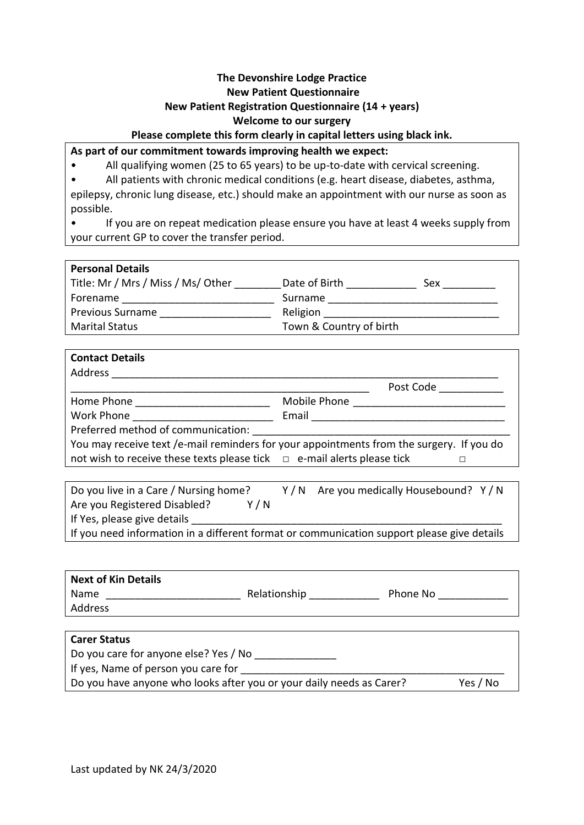# **The Devonshire Lodge Practice New Patient Questionnaire New Patient Registration Questionnaire (14 + years) Welcome to our surgery**

## **Please complete this form clearly in capital letters using black ink.**

## **As part of our commitment towards improving health we expect:**

• All qualifying women (25 to 65 years) to be up-to-date with cervical screening.

• All patients with chronic medical conditions (e.g. heart disease, diabetes, asthma, epilepsy, chronic lung disease, etc.) should make an appointment with our nurse as soon as possible.

• If you are on repeat medication please ensure you have at least 4 weeks supply from your current GP to cover the transfer period.

| Date of Birth           | Sex |
|-------------------------|-----|
| Surname                 |     |
| Religion                |     |
| Town & Country of birth |     |
|                         |     |

| <b>Contact Details</b>                                                                                                                                                                                                        |                                                                                          |
|-------------------------------------------------------------------------------------------------------------------------------------------------------------------------------------------------------------------------------|------------------------------------------------------------------------------------------|
| Address                                                                                                                                                                                                                       |                                                                                          |
|                                                                                                                                                                                                                               | Post Code                                                                                |
| Home Phone <b>Example 20</b>                                                                                                                                                                                                  | Mobile Phone                                                                             |
| Work Phone <u>___________</u>                                                                                                                                                                                                 | Email                                                                                    |
| Preferred method of communication: Notified that the set of the set of the set of the set of the set of the set of the set of the set of the set of the set of the set of the set of the set of the set of the set of the set |                                                                                          |
|                                                                                                                                                                                                                               | You may receive text /e-mail reminders for your appointments from the surgery. If you do |
| not wish to receive these texts please tick $\Box$ e-mail alerts please tick                                                                                                                                                  |                                                                                          |

| Do you live in a Care / Nursing home?                                                      | Y/N Are you medically Housebound? Y/N |
|--------------------------------------------------------------------------------------------|---------------------------------------|
| Y / N<br>Are you Registered Disabled?                                                      |                                       |
| If Yes, please give details                                                                |                                       |
| If you need information in a different format or communication support please give details |                                       |

| Next of Kin Details |              |          |  |
|---------------------|--------------|----------|--|
| Name                | Relationship | Phone No |  |
| Address             |              |          |  |
|                     |              |          |  |
| <b>Carer Status</b> |              |          |  |

| <b>Carer Status</b>                                                  |          |
|----------------------------------------------------------------------|----------|
| Do you care for anyone else? Yes / No                                |          |
| If yes, Name of person you care for                                  |          |
| Do you have anyone who looks after you or your daily needs as Carer? | Yes / No |
|                                                                      |          |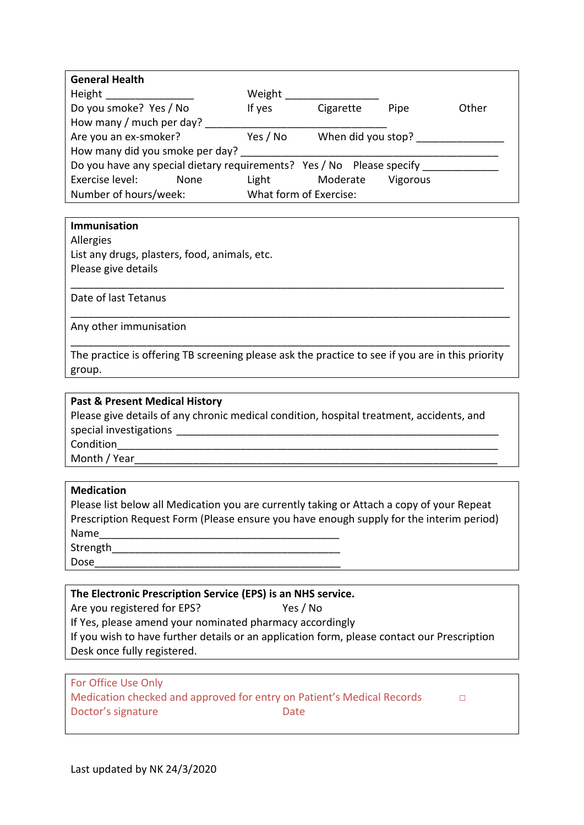| <b>General Health</b>                                                 |          |                        |          |       |
|-----------------------------------------------------------------------|----------|------------------------|----------|-------|
| Height                                                                | Weight   |                        |          |       |
| Do you smoke? Yes / No                                                | If yes   | Cigarette              | Pipe     | Other |
| How many / much per day?                                              |          |                        |          |       |
| Are you an ex-smoker?                                                 | Yes / No | When did you stop?     |          |       |
| How many did you smoke per day?                                       |          |                        |          |       |
| Do you have any special dietary requirements? Yes / No Please specify |          |                        |          |       |
| Exercise level:<br><b>None</b>                                        | Light    | Moderate               | Vigorous |       |
| Number of hours/week:                                                 |          | What form of Exercise: |          |       |

### **Immunisation**

Allergies

List any drugs, plasters, food, animals, etc. Please give details

Date of last Tetanus

Any other immunisation

The practice is offering TB screening please ask the practice to see if you are in this priority group.

\_\_\_\_\_\_\_\_\_\_\_\_\_\_\_\_\_\_\_\_\_\_\_\_\_\_\_\_\_\_\_\_\_\_\_\_\_\_\_\_\_\_\_\_\_\_\_\_\_\_\_\_\_\_\_\_\_\_\_\_\_\_\_\_\_\_\_\_\_\_\_\_\_\_\_

\_\_\_\_\_\_\_\_\_\_\_\_\_\_\_\_\_\_\_\_\_\_\_\_\_\_\_\_\_\_\_\_\_\_\_\_\_\_\_\_\_\_\_\_\_\_\_\_\_\_\_\_\_\_\_\_\_\_\_\_\_\_\_\_\_\_\_\_\_\_\_\_\_\_

\_\_\_\_\_\_\_\_\_\_\_\_\_\_\_\_\_\_\_\_\_\_\_\_\_\_\_\_\_\_\_\_\_\_\_\_\_\_\_\_\_\_\_\_\_\_\_\_\_\_\_\_\_\_\_\_\_\_\_\_\_\_\_\_\_\_\_\_\_\_\_\_\_\_\_

### **Past & Present Medical History**

Please give details of any chronic medical condition, hospital treatment, accidents, and special investigations Condition

Month / Year

## **Medication**

Please list below all Medication you are currently taking or Attach a copy of your Repeat Prescription Request Form (Please ensure you have enough supply for the interim period) Name Strength

Dose

## **The Electronic Prescription Service (EPS) is an NHS service.**

Are you registered for EPS? Yes / No

If Yes, please amend your nominated pharmacy accordingly

If you wish to have further details or an application form, please contact our Prescription Desk once fully registered.

# For Office Use Only Medication checked and approved for entry on Patient's Medical Records □ Doctor's signature Date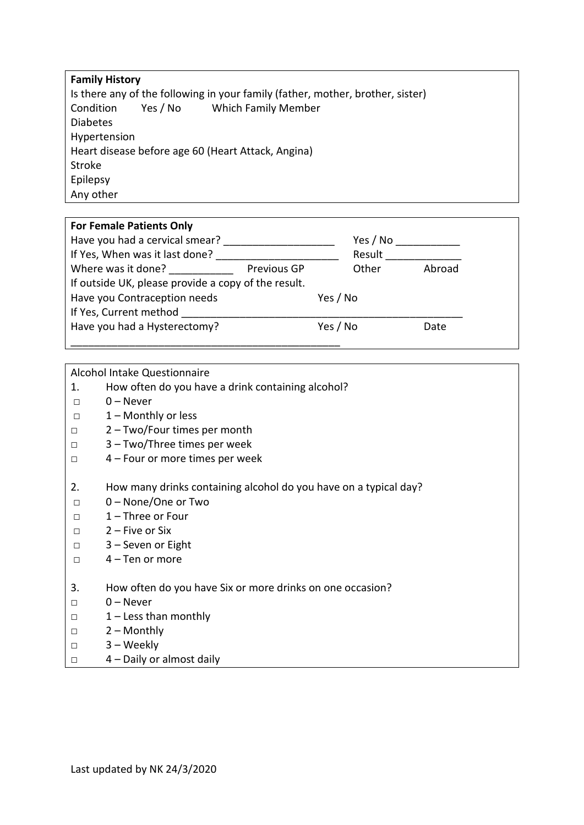| <b>Family History</b> |          |                                                                                |
|-----------------------|----------|--------------------------------------------------------------------------------|
|                       |          | Is there any of the following in your family (father, mother, brother, sister) |
| Condition             | Yes / No | <b>Which Family Member</b>                                                     |
| <b>Diabetes</b>       |          |                                                                                |
| Hypertension          |          |                                                                                |
|                       |          | Heart disease before age 60 (Heart Attack, Angina)                             |
| <b>Stroke</b>         |          |                                                                                |
| Epilepsy              |          |                                                                                |
| Any other             |          |                                                                                |

| <b>For Female Patients Only</b>                     |             |          |        |
|-----------------------------------------------------|-------------|----------|--------|
| Have you had a cervical smear?                      |             | Yes / No |        |
| If Yes, When was it last done?                      |             | Result   |        |
| Where was it done?                                  | Previous GP | Other    | Abroad |
| If outside UK, please provide a copy of the result. |             |          |        |
| Have you Contraception needs                        |             | Yes / No |        |
| If Yes, Current method                              |             |          |        |
| Have you had a Hysterectomy?                        |             | Yes / No | Date   |
|                                                     |             |          |        |

Alcohol Intake Questionnaire

- 1. How often do you have a drink containing alcohol?
- □ 0 Never
- □ 1 Monthly or less
- □ 2 Two/Four times per month
- □ 3 Two/Three times per week
- □ 4 Four or more times per week
- 2. How many drinks containing alcohol do you have on a typical day?
- □ 0 None/One or Two
- □ 1 Three or Four
- □ 2 Five or Six
- □ 3 Seven or Eight
- □ 4 Ten or more
- 3. How often do you have Six or more drinks on one occasion?
- □ 0 Never
- □ 1 Less than monthly
- □ 2 Monthly
- □ 3 Weekly
- □ 4 Daily or almost daily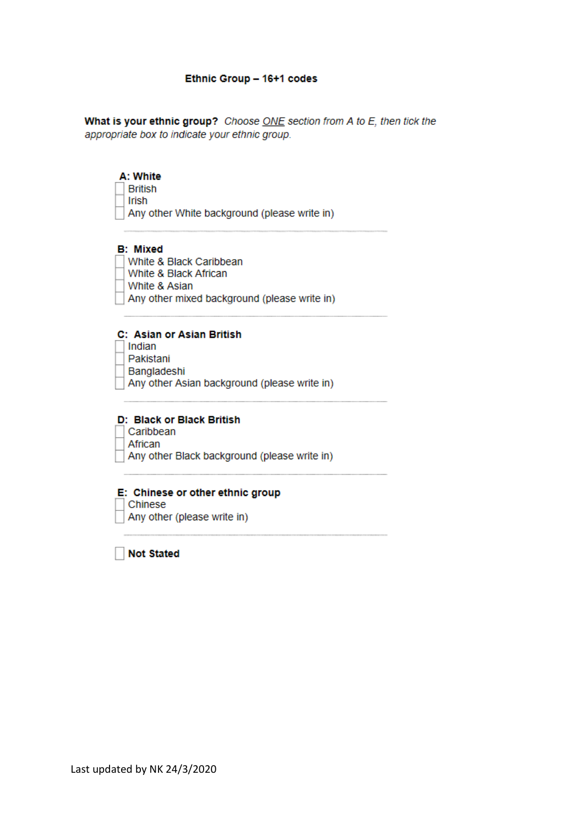### Ethnic Group - 16+1 codes

What is your ethnic group? Choose ONE section from A to E, then tick the appropriate box to indicate your ethnic group.

### A: White

**British** Irish Any other White background (please write in)

### **B: Mixed**

- White & Black Caribbean
- White & Black African
- White & Asian
- Any other mixed background (please write in)

### C: Asian or Asian British

- Indian
- Pakistani
- Bangladeshi
- Any other Asian background (please write in)

# D: Black or Black British

- Caribbean African
- 
- $\overline{\phantom{a}}$  Any other Black background (please write in)

#### E: Chinese or other ethnic group

Chinese

Any other (please write in)

Not Stated